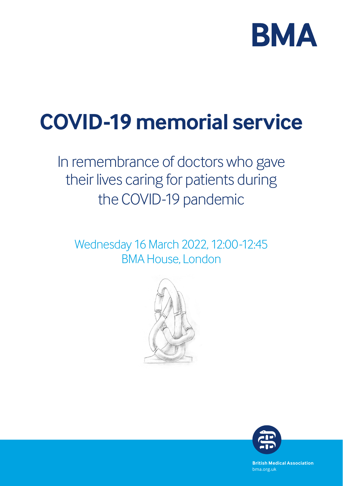

# **COVID-19 memorial service**

# In remembrance of doctors who gave their lives caring for patients during the COVID-19 pandemic

Wednesday 16 March 2022, 12:00-12:45 BMA House, London





**British Medical Association** bma.org.uk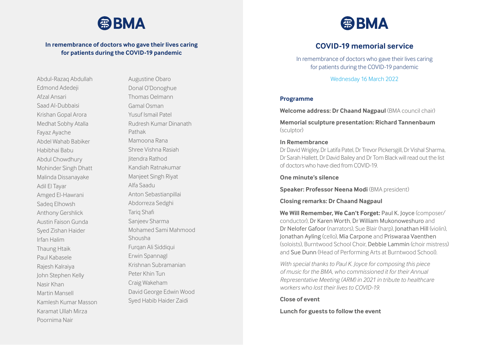

# **In remembrance of doctors who gave their lives caring for patients during the COVID-19 pandemic**

Abdul-Razaq Abdullah Edmond Adedeji Afzal Ansari Saad Al-Dubbaisi Krishan Gopal Arora Medhat Sobhy Atalla Fayaz Ayache Abdel Wahab Babiker Habibhai Babu Abdul Chowdhury Mohinder Singh Dhatt Malinda Dissanayake Adil El Tayar Amged El-Hawrani Sadeq Elhowsh Anthony Gershlick Austin Faison Gunda Syed Zishan Haider Irfan Halim Thaung Htaik Paul Kabasele Rajesh Kalraiya John Stephen Kelly Nasir Khan Martin Mansell Kamlesh Kumar Masson Karamat Ullah Mirza Poornima Nair

Augustine Obaro Donal O'Donoghue Thomas Oelmann Gamal Osman Yusuf Ismail Patel Rudresh Kumar Dinanath Pathak Mamoona Rana Shree Vishna Rasiah Jitendra Rathod Kandiah Ratnakumar Manjeet Singh Riyat Alfa Saadu Anton Sebastianpillai Abdorreza Sedghi Tariq Shafi Sanjeev Sharma Mohamed Sami Mahmood Shousha Furqan Ali Siddiqui Erwin Spannagl Krishnan Subramanian Peter Khin Tun Craig Wakeham David George Edwin Wood Syed Habib Haider Zaidi



# **COVID-19 memorial service**

In remembrance of doctors who gave their lives caring for patients during the COVID-19 pandemic

Wednesday 16 March 2022

## **Programme**

**Welcome address: Dr Chaand Nagpaul** (BMA council chair)

**Memorial sculpture presentation: Richard Tannenbaum** (sculptor)

### **In Remembrance**

Dr David Wrigley, Dr Latifa Patel, Dr Trevor Pickersgill, Dr Vishal Sharma, Dr Sarah Hallett, Dr David Bailey and Dr Tom Black will read out the list of doctors who have died from COVID-19.

**One minute's silence** 

**Speaker: Professor Neena Modi (BMA president)** 

#### **Closing remarks: Dr Chaand Nagpaul**

**We Will Remember, We Can't Forget:** Paul K. Joyce (composer/ conductor), Dr Karen Worth, Dr William Mukonoweshuro and Dr Nelofer Gafoor (narrators), Sue Blair (harp), Jonathan Hill (violin), Jonathan Ayling (cello), Mia Carpone and Priswaraa Vaenthen (soloists), Burntwood School Choir, Debbie Lammin (choir mistress) and Sue Dunn (Head of Performing Arts at Burntwood School).

*With special thanks to Paul K. Joyce for composing this piece of music for the BMA, who commissioned it for their Annual Representative Meeting (ARM) in 2021 in tribute to healthcare workers who lost their lives to COVID-19.*

**Close of event** 

**Lunch for guests to follow the event**